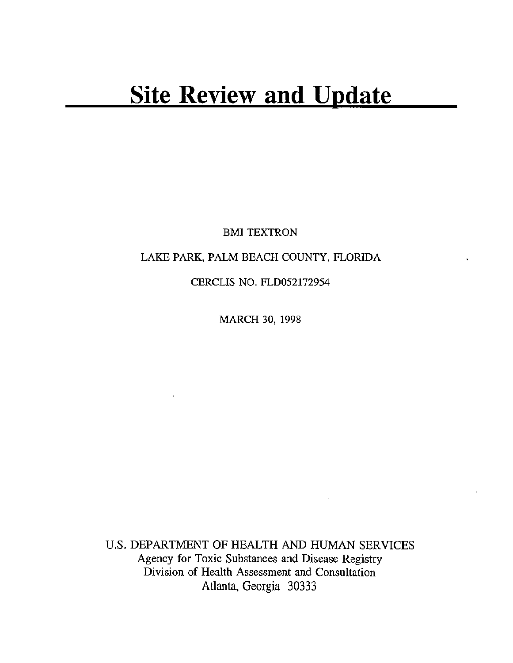BMI TEXTRON

# LAKE PARK, PALM BEACH COUNTY, FLORIDA

CERCLIS NO. FLD052172954

MARCH 30, 1998

U.S. DEPARTMENT OF HEALTH AND HUMAN SERVICES Agency for Toxic Substances and Disease Registry Division of Health Assessment and Consultation Atlanta, Georgia 30333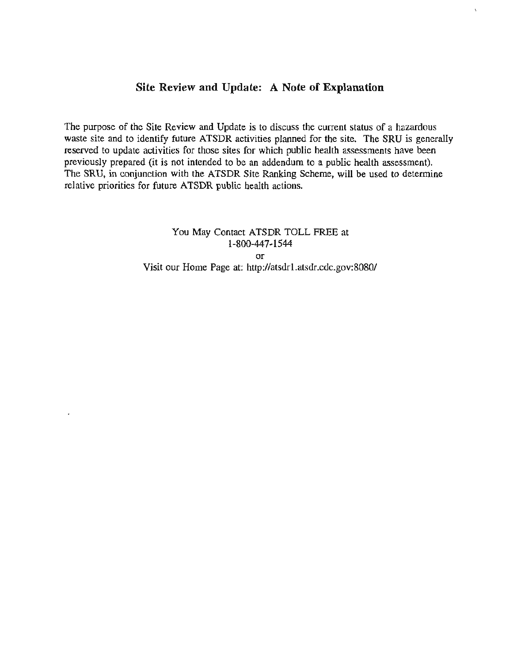## **Site Review and Update: A Note of Explanation**

 $\mathbf{r}$ 

The purpose of the Site Review and Update is to discuss the current status of a hazardous waste site and to identify future ATSDR activities planned for the site. The SRU is generally reserved to update activities for those sites for which public health assessments have been previously prepared (it is not intended to be an addendum to a public health assessment). The SRU, in conjunction with the ATSDR Site Ranking Scheme, will be used to determine relative priorities for future ATSDR public health actions.

> You May Contact ATSDR TOLL FREE at 1-800-447-1544 or Visit our Home Page at: http://atsdrl.atsdr.cdc.gov:8080/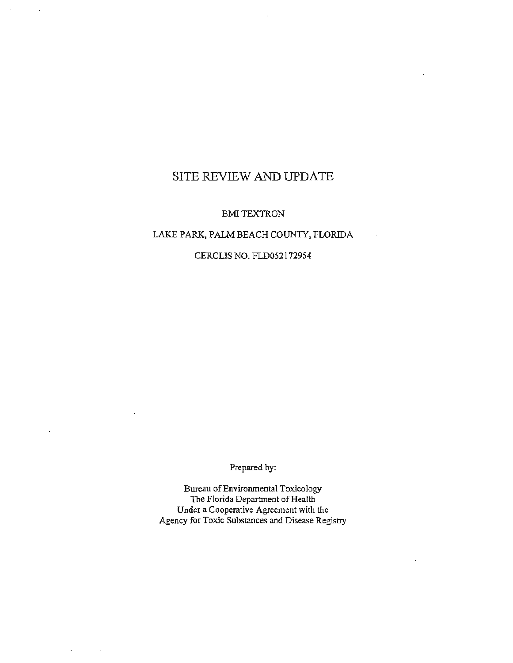# SITE REVIEW AND UPDATE

#### BMITEXTRON

### LAKE PARK, PALM BEACH COUNTY, FLORIDA

#### CERCLIS NO. FLD052172954

Prepared by:

Bureau ofEnvironmental Toxicology The Florida Department of Health Under a Cooperative Agreement with the Agency for Toxic Substances and Disease Registry

 $\cdots$  . In the set of the set of  $\mathcal{O}(\mathbb{R}^d)$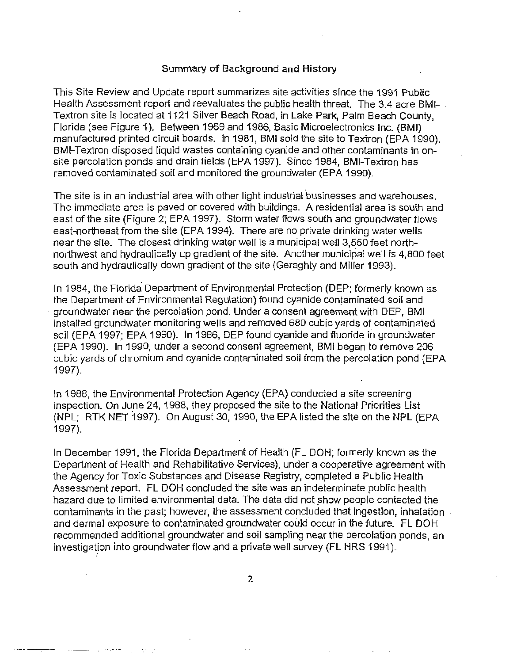#### Summary of Background and History

This Site Review and Update report summarizes site activities since the 1991 Public Health Assessment report and reevaluates the public health threat. The 3.4 acre BMI- . Textron site is located at 1121 Silver Beach Road, in Lake Park, Palm Beach County, Florida (see Figure 1). Between 1969 and 1986, Basic Microelectronics Inc. (BMI) manufactured printed circuit boards. In 1981, BMI sold the site to Textron (EPA 1990). BMI-Textron disposed liquid wastes containing cyanide and other contaminants in onsite percolation ponds and drain fields (EPA 1997). Since 1984, BMI-Textron has removed contaminated soil and monitored the groundwater (EPA 1990).

The site is in an industrial area with other light industrial businesses and warehouses. The immediate area is paved or covered with buildings. A residential area is south and east of the site (Figure 2; EPA 1997). Storm water flows south and groundwater flows east-northeast from the site (EPA 1994). There are no private drinking water wells near the site. The closest drinking water well is a municipal well 3,550 feet northnorthwest and hydraulically up gradient of the site. Another municipal well is 4,800 feet south and hydraulically down gradient of the site (Geraghty and Miller 1993).

In 1984, the Florida Department of Environmental Protection (DEP; formerly known as the Department of Environmental Regulation) found cyanide contaminated soil and · groundwater near the percolation pond. Under a consent agreement with DEP, BMI installed groundwater monitoring wells and removed 680 cubic yards of contaminated soil (EPA 1997; EPA 1990). In 1986, DEP found cyanide and fluoride in groundwater (EPA 1990). In 1990, under a second consent agreement, BMI began to remove 206 cubic yards of chromium and cyanide contaminated soil from the percolation pond (EPA 1997).

In 1988, the Environmental Protection Agency (EPA) conducted a site screening inspection. On June 24, 1988, they proposed the site to the National Priorities List (NPL; RTK NET 1997). On August 30, 1990, the EPA listed the site on the NPL (EPA 1997).

In December 1991, the Florida Department of Health (FL DOH; formerly known as the Department of Health and Rehabilitative Services), under a cooperative agreement with the Agency for Toxic Substances and Disease Registry, completed a Public Health Assessment report. FL DOH concluded the site was an indeterminate public health hazard due to limited environmental data. The data did not show people contacted the contaminants in the past; however, the assessment concluded that ingestion, inhalation and dermal exposure to contaminated groundwater could occur in the future. FL DOH recommended additional groundwater and soil sampling near the percolation ponds, an investigation into groundwater flow and a private well survey (FL HRS 1991).

2

---.-·-··.- ·- .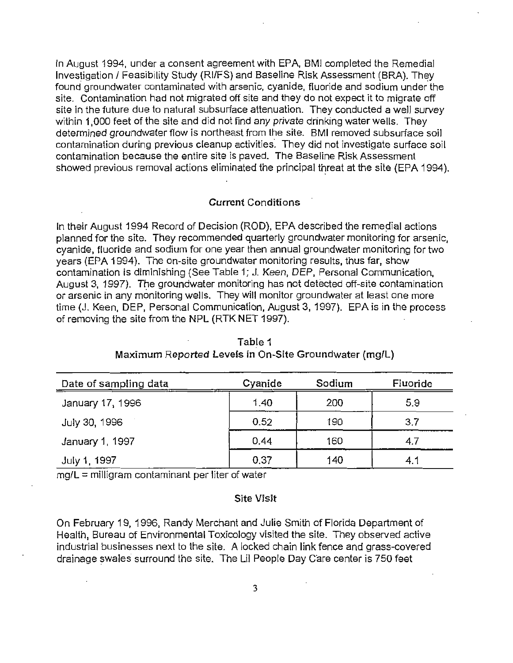In August 1994, under a consent agreement with EPA, BMI completed the Remedial Investigation / Feasibility Study (RI/FS) and Baseline Risk Assessment (BRA). They found groundwater contaminated with arsenic, cyanide, fluoride and sodium under the site. Contamination had not migrated off site and they do not expect it to migrate off site in the future due to natural subsurface attenuation. They conducted a well survey within 1,000 feet of the site and did not find any private drinking water wells. They determined groundwater flow is northeast from the site. BMI removed subsurface soil contamination during previous cleanup activities. They did not investigate surface soil contamination because the entire site is paved. The Baseline Risk Assessment showed previous removal actions eliminated the principal threat at the site (EPA 1994).

#### Current Conditions ·

In their August 1994 Record of Decision (ROD), EPA described the remedial actions planned for the site. They recommended quarterly groundwater monitoring for arsenic, cyanide, fluoride and sodium for one year then annual groundwater monitoring for two years (EPA 1994). The on-site groundwater monitoring results, thus far, show contamination is diminishing (See Table 1; J. Keen, DEP, Personal Communication, August 3, 1997). The groundwater monitoring has not detected off-site contamination or arsenic in any monitoring wells. They will monitor groundwater at least one more time (J. Keen, DEP, Personal Communication, August 3, 1997). EPA is in the process of removing the site from the NPL (RTK NET 1997).

| Date of sampling data | Cyanide | Sodium | Fluoride |
|-----------------------|---------|--------|----------|
| January 17, 1996      | 1,40    | 200    | 5.9      |
| July 30, 1996         | 0.52    | 190    | 3.7      |
| January 1, 1997       | 0.44    | 160    | 4.7      |
| July 1, 1997          | 0.37    | 140    | 4.1      |

Table 1 Maximum Reported Levels in On-Site Groundwater (mg/L)

 $mg/L =$  milligram contaminant per liter of water

#### Site Visit

On February 19, 1996, Randy Merchant and Julie Smith of Florida Department of Health, Bureau of Environmental Toxicology visited the site. They observed active industrial businesses next to the site. A locked chain link fence and grass-covered drainage swales surround the site. The Lil People Day Care center is 750 feet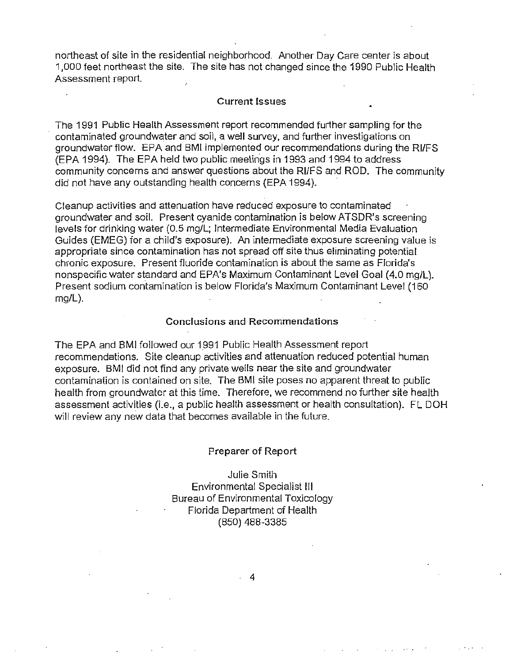northeast of site in the residential neighborhood. Another Day Care center is about 1,000 feet northeast the site. The site has not changed since the 1990 Public Health Assessment report.

#### Current Issues

The 1991 Public Health Assessment report recommended further sampling for the contaminated groundwater and soil, a well survey, and further investigations on groundwater flow. EPA and BMI implemented our recommendations during the RI/FS (EPA 1994). The EPA held two public meetings in 1993 and 1994 to address community concerns and answer questions about the RI/FS and ROD. The community did not have any outstanding health concerns (EPA 1994).

Cleanup activities and attenuation have reduced exposure to contaminated groundwater and soil. Present cyanide contamination is below ATSDR's screening levels for drinking water (0.5 mg/L; Intermediate Environmental Media Evaluation Guides (EMEG) for a child's exposure). An intermediate exposure screening value is appropriate since contamination has not spread off site thus eliminating potential chronic exposure. Present fluoride contamination is about the same as Florida's nonspecific water standard and EPA's Maximum Contaminant Level Goal (4.0 mg/L). Present sodium contamination is below Florida's Maximum Contaminant Level (160 mg/L).

#### Conclusions and Recommendations

The EPA and BMI followed our 1991 Public Health Assessment report recommendations. Site cleanup activities and attenuation reduced potential human exposure. BMI did not find any private wells near the site and groundwater contamination is contained on site. The BMI site poses no apparent threat to public health from groundwater at this time. Therefore, we recommend no further site health assessment activities (i.e., a public health assessment or health consultation). FL DOH will review any new data that becomes available in the future.

#### Preparer of Report

Julie Smith Environmental Specialist Ill Bureau of Environmental Toxicology Florida Department of Health (850) 488-3385

. 4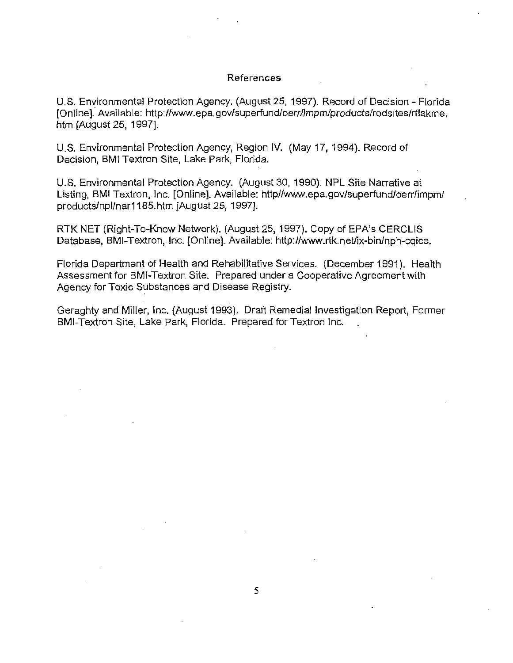#### References

U.S. Environmental Protection Agency. (August 25, 1997). Record of Decision- Florida [Online]. Available: http://www.epa.gov/superfund/oerr/lmpm/products/rodsites/rflakme. htm [August 25, 1997].

U.S. Environmental Protection Agency, Region IV. (May 17, 1994). Record of Decision, BMI Textron Site, Lake Park, Florida.

U.S. Environmental Protection Agency. (August 30, 1990). NPL Site Narrative at Listing, BMI Textron, Inc. [Online]. Available: http//W'Mv.epa.gov/superfund/oerr/impm/ products/npllnar1185.htm [August 25, 1997].

RTK NET (Right-To-Know Network). (August 25, 1997). Copy of EPA's CERCUS Database, BMI-Textron, Inc. [Online]. Available: http://www.rtk.net/ix-bin/nph-cqice.

Florida Department of Health and Rehabilitative Services. (December 1991). Health Assessment for BMI-Textron Site. Prepared under a Cooperative Agreement with Agency for Toxic Substances and Disease Registry.

. . Geraghty and Miller, Inc. (August 1993). Draft Remedial Investigation Report, Former BMI-Textron Site, Lake Park, Florida. Prepared for Textron Inc.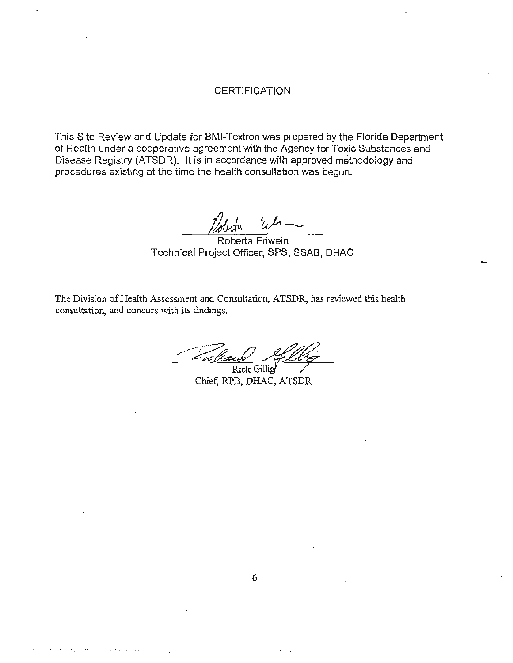### **CERTIFICATION**

This Site Review and Update for BMI-Textron was prepared by the Florida Department of Health under a cooperative agreement with the Agency for Toxic Substances and Disease Registry (ATSDR). It is in accordance with approved methodology and procedures existing at the time the health consultation was begun.

על

Roberta Erlwein Technical Project Officer, SPS, SSAB, DHAC

The Division of Health Assessment and Consultation, ATSDR, has reviewed this health consultation, and concurs with its findings.

<u>Cullack Allig</u>

Chief: RPB, DHAC, ATSDR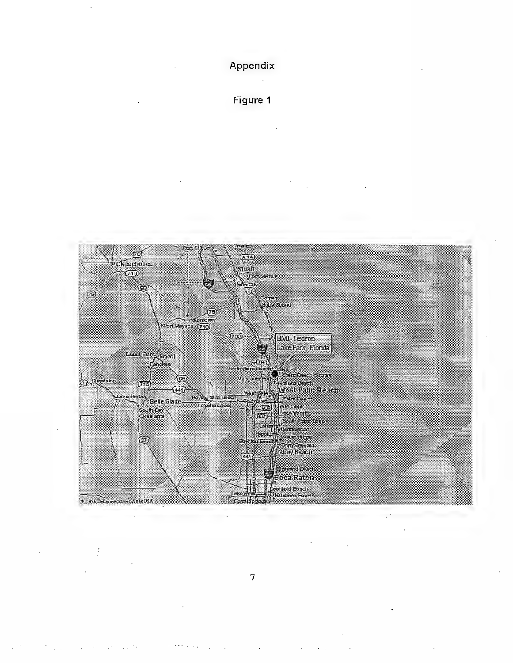

Figure 1



7